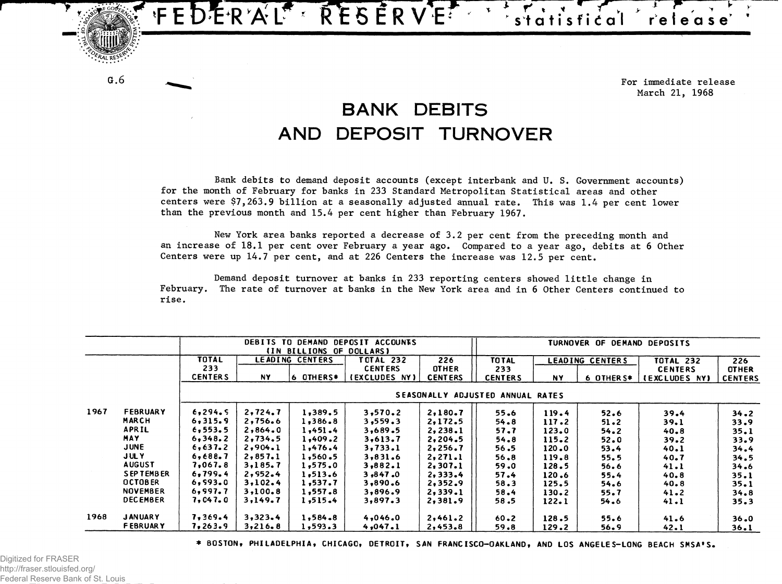

**For immediate release March 21, 1968**

## **BANK DEBITS AND DEPOSIT TURNOVER**

**Bank debits to demand deposit accounts (except interbank and U. S. Government accounts) for the month of February for banks in 233 Standard Metropolitan Statistical areas and other centers were \$7,263.9 billion at a seasonally adjusted annual rate. This was 1.4 per cent lower than the previous month and 15.4 per cent higher than February 1967.**

**New York area banks reported a decrease of 3.2 per cent from the preceding month and** an increase of 18.1 per cent over February a year ago. Compared to a year ago, debits at 6 Other **Centers were up 14.7 per cent, and at 226 Centers the increase was 12.5 per cent.**

**Demand deposit turnover at banks in 233 reporting centers showed little change in** February. The rate of turnover at banks in the New York area and in 6 Other Centers continued to **rise.** 

|      |                 | DEBITS TO DEMAND DEPOSIT ACCOUNTS<br>(IN BILLIONS OF DOLLARS) |         |                        |                | TURNOVER OF DEMAND DEPOSITS |                |           |                        |                      |                |
|------|-----------------|---------------------------------------------------------------|---------|------------------------|----------------|-----------------------------|----------------|-----------|------------------------|----------------------|----------------|
|      |                 | TOTAL                                                         |         | <b>LEADING CENTERS</b> | TOTAL 232      | 226                         | <b>TO TAL</b>  |           | <b>LEADING CENTERS</b> | <b>TOTAL 232</b>     | 226            |
|      |                 | 233                                                           |         |                        | <b>CENTERS</b> | <b>OTHER</b>                | 233            |           |                        | <b>CENTERS</b>       | <b>OTHER</b>   |
|      |                 | <b>CENTERS</b>                                                | NY.     | 6 OTHERS*              | (EXCLUDES NY)  | <b>CENTERS</b>              | <b>CENTERS</b> | <b>NY</b> | 6 OTHER S*             | <b>IEXCLUDES NY)</b> | <b>CENTERS</b> |
|      |                 | <b>SEASONALLY</b><br><b>ADJUSTED ANNUAL RATES</b>             |         |                        |                |                             |                |           |                        |                      |                |
| 1967 | <b>FEBRUARY</b> | 6,294.5                                                       | 2,724.7 | 1,389.5                | 3,570.2        | 2,180.7                     | 55.6           | 119.4     | 52.6                   | 39.4                 | 34.2           |
|      | MARCH           | 6,315.9                                                       | 2,756.6 | 1,386.8                | 3, 559.3       | 2,172.5                     | 54.8           | 117.2     | 51.2                   | 39.1                 | 33.9           |
|      | <b>APRIL</b>    | 6, 553.5                                                      | 2,864.0 | 1,451.4                | 3,689.5        | 2,238.1                     | 57.7           | 123.0     | 54.2                   | 40.8                 | 35.1           |
|      | <b>MAY</b>      | 6,348.2                                                       | 2,734.5 | 1,409.2                | 3,613.7        | 2,204.5                     | 54.8           | 115.2     | 52.0                   | 39.2                 | 33.9           |
|      | <b>JUNE</b>     | 6,637.2                                                       | 2,904.1 | 1,476.4                | 3,733.1        | 2,256.7                     | 56.5           | 120.0     | 53.4                   | 40.1                 | 34.4           |
|      | <b>JULY</b>     | 6,688.7                                                       | 2,857.1 | 1,560.5                | 3,831.6        | 2, 271.1                    | 56,8           | 119.8     | 55.5                   | 40.7                 | 34.5           |
|      | <b>AUGUST</b>   | 7,067.8                                                       | 3,185,7 | 1,575.0                | 3,882.1        | 2,307.1                     | 59.0           | 128.5     | 56.6                   | 41.1                 | 34.6           |
|      | SEPTEMBER       | 6,799.4                                                       | 2,952.4 | 1,513.6                | 3,847,0        | 2,333.4                     | 57.4           | 120.6     | 55.4                   | 40.8                 | 35.1           |
|      | <b>OCTOBER</b>  | 6,993.0                                                       | 3,102.4 | 1,537.7                | 3,890.6        | 2,352.9                     | 58.3           | 125.5     | 54.6                   | 40.8                 | 35.1           |
|      | <b>NOVEMBER</b> | 6,997.7                                                       | 3,100.8 | 1,557.8                | 3,896.9        | 2,339.1                     | 58.4           | 130.2     | 55.7                   | 41.2                 | 34.8           |
|      | <b>DECEMBER</b> | 7,047.0                                                       | 3,149.7 | 1,515.4                | 3,897.3        | 2,381.9                     | 58.5           | 122.1     | 54.6                   | 41.1                 | 35.3           |
| 1968 | <b>JANUARY</b>  | 7,369.4                                                       | 3,323.4 | 1,584.8                | 4,046.0        | 2,461.2                     | $60 - 2$       | 128.5     | 55.6                   | 41.6                 | 36.0           |
|      | <b>FEBRUARY</b> | 7,263.9                                                       | 3,216.8 | 1,593.3                | 4,047.1        | 2,453.8                     | 59.8           | 129.2     | 56.9                   | 42.1                 | 36.1           |

**\* BOSTON, PHILADELPHIA, CHICAGO, DETROIT, SAN FRANCISCO—OAKLAND, AND LOS ANGELES-LONG BEACH SMSA'S.**

**G.6**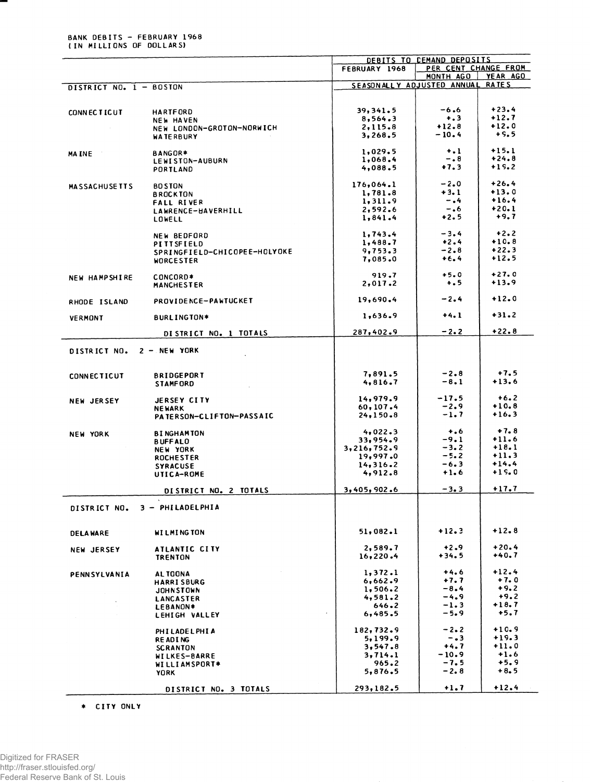## BANK DEBITS - FEBRUARY 1968 (IN MILLIONS OF DOLLARS)

Ŧ

|                           |                                     |                     | DEBITS TO CEMAND DEPOSITS                     |                    |  |
|---------------------------|-------------------------------------|---------------------|-----------------------------------------------|--------------------|--|
|                           |                                     | FEBRUARY 1968       | PER CENT CHANGE FROM                          |                    |  |
|                           |                                     |                     | MONTH AGO<br>SEASONALLY ADJUSTED ANNUAL RATES | YEAR AGO           |  |
| DISTRICT NO. 1 - BOSTON   |                                     |                     |                                               |                    |  |
|                           |                                     |                     |                                               |                    |  |
| <b>CONNECTICUT</b>        | <b>HARTFORD</b>                     | 39,341.5            | $-6.6$                                        | $+23.4$            |  |
|                           | <b>NEW HAVEN</b>                    | 8,564.3             | $\ddotsc$                                     | $+12.7$            |  |
|                           | NEW LONDON-GROTON-NORWICH           | 2,115.8             | $+12.8$                                       | $+12.0$            |  |
|                           | <b>WATERBURY</b>                    | 3,268.5             | $-10.4$                                       | $+5.5$             |  |
|                           |                                     |                     |                                               |                    |  |
| MAINE <b>MAIN</b>         | <b>BANGOR*</b>                      | 1,029.5             | $+1$<br>-.8                                   | $+15.1$<br>$+24.8$ |  |
|                           | LEWISTON-AUBURN                     | 1,068.4<br>4,088.5  | $+7.3$                                        | $+15.2$            |  |
|                           | <b>PORTLAND</b>                     |                     |                                               |                    |  |
| <b>MASSACHUSETTS</b>      | <b>BO STON</b>                      | 176,064.1           | $-2.0$                                        | $+26.4$            |  |
|                           | <b>BROCKTON</b>                     | 1,781.8             | $+3.1$                                        | $+13.0$            |  |
|                           | <b>FALL RIVER</b>                   | 1,311.9             | $-0.4$                                        | $+16.4$            |  |
|                           | LAWRENCE-HAVERHILL                  | 2,592.6             | -.6                                           | $+20.1$            |  |
|                           | LOWELL                              | 1,841.4             | $+2.5$                                        | $+9,7$             |  |
|                           |                                     |                     |                                               |                    |  |
|                           | NEW BEDFORD                         | 1,743.4             | $-3.4$                                        | $+2.2$             |  |
|                           | PITTSFIELD                          | 1,488.7             | $+2.4$                                        | $+10.8$<br>$+22.3$ |  |
|                           | SPRINGFIELD-CHICOPEE-HOLYOKE        | 9,753.3             | $-2.8$<br>$+6.4$                              | $+12.5$            |  |
|                           | <b>WORCESTER</b>                    | 7,085.0             |                                               |                    |  |
|                           | CONCORD*                            | 919.7               | $+5.0$                                        | $+27.0$            |  |
| NEW HAMPSHIRE             | <b>MANCHESTER</b>                   | 2,017.2             | $+ . 5$                                       | $+13.9$            |  |
|                           |                                     |                     |                                               |                    |  |
| RHODE ISLAND              | PROVIDENCE-PAWTUCKET                | 19,690.4            | $-2.4$                                        | $+12.0$            |  |
|                           |                                     |                     |                                               | $+31.2$            |  |
| <b>VERMONT</b>            | BURLINGTON*                         | 1,636.9             | $+4.1$                                        |                    |  |
|                           | DISTRICT NO. 1 TOTALS               | 287,402.9           | $-2.2$                                        | $+22.8$            |  |
| DISTRICT NO. 2 - NEW YORK |                                     |                     |                                               |                    |  |
|                           |                                     |                     |                                               |                    |  |
| <b>CONNECTICUT</b>        | <b>BRIDGEPORT</b>                   | 7,891.5             | $-2.8$                                        | $+7.5$             |  |
|                           | <b>STAMFORD</b>                     | 4,816.7             | $-8.1$                                        | $+13.6$            |  |
|                           |                                     |                     |                                               |                    |  |
| <b>NEW JERSEY</b>         | <b>JERSEY CITY</b>                  | 14,979.9            | $-17.5$                                       | $+6.2$             |  |
|                           | <b>NEWARK</b>                       | 60, 107.4           | $-2.9$                                        | $+10.8$            |  |
|                           | <b>PATERSON-CLIFTON-PASSAIC</b>     | 24,150.8            | $-1.7$                                        | $+16.3$            |  |
|                           |                                     |                     | $+ 1.6$                                       | $+7.8$             |  |
| <b>NEW YORK</b>           | <b>BINGHAMTON</b>                   | 4,022.3<br>33,954.9 | $-9.1$                                        | $+11.6$            |  |
|                           | <b>BUFFALO</b>                      | 3,216,752.9         | $-3.2$                                        | $+18.1$            |  |
|                           | <b>NEW YORK</b><br><b>ROCHESTER</b> | 19,997.0            | $-5.2$                                        | $+11.3$            |  |
|                           | <b>SYRACUSE</b>                     | 14,316.2            | $-6.3$                                        | $+14.4$            |  |
|                           | UTICA-ROME                          | 4,912.8             | $+1.6$                                        | $+15.0$            |  |
|                           |                                     |                     |                                               |                    |  |
|                           | DISTRICT NO. 2 TOTALS               | 3,405,902.6         | $-3.3$                                        | $+17.7$            |  |
| DISTRICT NO.              | 3 - PHILADELPHIA                    |                     |                                               |                    |  |
|                           | <b>WILMINGTON</b>                   | 51,082.1            | $+12.3$                                       | $+12.8$            |  |
| <b>DELAWARE</b>           |                                     |                     |                                               |                    |  |
| <b>NEW JERSEY</b>         | ATLANTIC CITY                       | 2,589.7             | $+2.9$                                        | $+20.4$            |  |
|                           | <b>TRENTON</b>                      | 16,220.4            | $+34.5$                                       | +40.7              |  |
|                           |                                     | 1,372.1             | $+4.6$                                        | $+12.4$            |  |
| PENNSYLVANIA              | AL TOONA                            | 6,662.9             | $+7.7$                                        | $+7.0$             |  |
|                           | <b>HARRISBURG</b>                   | 1,506.2             | $-8.4$                                        | $+9.2$             |  |
|                           | <b>JOHNSTOWN</b>                    | 4,581.2             | $-4.9$                                        | $+9.2$             |  |
|                           | LANCASTER<br>LEBANON*               | 646.2               | $-1.3$                                        | +18.7              |  |
|                           | LEHIGH VALLEY                       | 6,485.5             | $-5.9$                                        | $+5.7$             |  |
|                           |                                     |                     |                                               |                    |  |
|                           | PHILADELPHIA                        | 182,732.9           | $-2-2$                                        | $+10.9$            |  |
|                           | <b>READING</b>                      | 5,199.9             | $-0.3$                                        | $+19.3$            |  |
|                           | <b>SCRANTON</b>                     | 3,547.8             | $+4.7$                                        | $+11.0$            |  |
|                           | <b>WILKES-BARRE</b>                 | 3,714.1             | -10.9                                         | $+1.6$<br>$+5.9$   |  |
|                           | WILLIAMSPORT*                       | 965.2<br>5,876.5    | -7.5<br>-2.8                                  | $+8.5$             |  |
|                           | <b>YORK</b>                         |                     |                                               |                    |  |
|                           | DISTRICT NO. 3 TOTALS               | 293,182.5           | $+1.7$                                        | $+12.4$            |  |
|                           |                                     |                     |                                               |                    |  |

\* CITY ONLY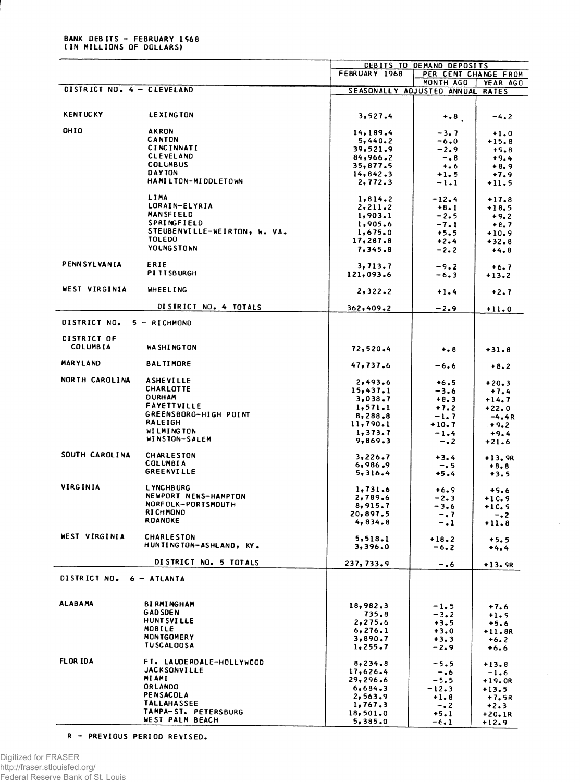## BANK DEBITS - FEBRUARY 1568<br>(IN MILLIONS OF DOLLARS)

|                            |                              |                                  | <b>CEBITS TO DEMAND DEPOSITS</b> |                      |
|----------------------------|------------------------------|----------------------------------|----------------------------------|----------------------|
|                            |                              | FEBRUARY 1968                    |                                  | PER CENT CHANGE FROM |
|                            |                              |                                  | MONTH AGO                        | YEAR AGO             |
| DISTRICT NO. 4 - CLEVELAND |                              | SEASONALLY ADJUSTED ANNUAL RATES |                                  |                      |
|                            |                              |                                  |                                  |                      |
| <b>KENTUCKY</b>            | <b>LEXINGTON</b>             |                                  |                                  |                      |
|                            |                              | 3,527.4                          | $+0.8$                           | $-4.2$               |
| OHIO                       | <b>AKRON</b>                 |                                  |                                  |                      |
|                            | <b>CANTON</b>                | 14,189.4<br>5,440.2              | $-3.7$<br>-6.0                   | $+1.0$               |
|                            | <b>CINCINNATI</b>            | 39,521.9                         | $-2.9$                           | $+15.8$<br>$+9.8$    |
|                            | <b>CLEVELAND</b>             | 84,966.2                         | $-0.8$                           | $+9.4$               |
|                            | <b>COLUMBUS</b>              | 35,877.5                         | $+ 66$                           | $+8.9$               |
|                            | <b>DAYTON</b>                | 14,842.3                         | $+1.5$                           | $+7.9$               |
|                            | <b>HAMILTON-MIDDLETOWN</b>   | 2,772.3                          | $-1.1$                           | $+11.5$              |
|                            |                              |                                  |                                  |                      |
|                            | LIMA                         | 1,814.2                          | $-12.4$                          | $+17.8$              |
|                            | LORAIN-ELYRIA                | 2, 211.2                         | $+8.1$                           | $+18.5$              |
|                            | <b>MANSFIELD</b>             | 1,903.1                          | $-2.5$                           | $+9.2$               |
|                            | SPRINGFIELD                  | 1,905.6                          | $-7.1$                           | $+8.7$               |
|                            | STEUBENVILLE-WEIRTON, W. VA. | 1,675.0                          | $+5.5$                           | $+10.9$              |
|                            | <b>TOLEDO</b>                | 17,287.8                         | $+2.4$                           | $+32.8$              |
|                            | <b>YOUNGSTOWN</b>            | 7,345.8                          | $-2.2$                           | $+4.8$               |
|                            |                              |                                  |                                  |                      |
| PENNSYLVANIA               | ERIE                         | 3,713.7                          | $-9.2$                           | $+6.7$               |
|                            | <b>PITTSBURGH</b>            | 121,093.6                        | $-6.3$                           | $+13.2$              |
|                            |                              |                                  |                                  |                      |
| WEST VIRGINIA              | <b>WHEELING</b>              | 2,322.2                          | $+1.4$                           | $+2.7$               |
|                            |                              |                                  |                                  |                      |
|                            | DISTRICT NO. 4 TOTALS        | 362,409.2                        | $-2.9$                           | $+11.0$              |
|                            |                              |                                  |                                  |                      |
| DISTRICT NO.               | 5 - RICHMOND                 |                                  |                                  |                      |
| DISTRICT OF                |                              |                                  |                                  |                      |
| <b>COLUMBIA</b>            | <b>WA SHINGTON</b>           |                                  |                                  |                      |
|                            |                              | 72,520.4                         | $+ 8 8$                          | $+31.8$              |
| <b>MARYLAND</b>            | <b>BALTIMORE</b>             | 47,737.6                         |                                  |                      |
|                            |                              |                                  | $-6.6$                           | $+8.2$               |
| NORTH CAROLINA             | <b>ASHEVILLE</b>             | 2,493.6                          |                                  |                      |
|                            | <b>CHARLOTTE</b>             | 15,437.1                         | $+6.5$<br>$-3.6$                 | $+20.3$              |
|                            | <b>DURHAM</b>                | 3,038.7                          | $+8.3$                           | $+7.4$               |
|                            | <b>FAYETTVILLE</b>           | 1, 571.1                         |                                  | $+14.7$              |
|                            | GREENSBORO-HIGH POINT        |                                  | $+7.2$                           | $+22.0$              |
|                            | <b>RALEIGH</b>               | 8,288.8<br>11,790.1              | $-1.7$                           | $-4.4R$              |
|                            | <b>WILMINGTON</b>            |                                  | +10.7                            | $+9.2$               |
|                            | WINSTON-SALEM                | 1,373.7<br>9,869.3               | $-1.4$                           | $+9.4$               |
|                            |                              |                                  | $-0.2$                           | $+21.6$              |
| SOUTH CAROLINA             | <b>CHARLESTON</b>            | 3,226.7                          | $+3.4$                           | $+13.9R$             |
|                            | <b>COLUMBIA</b>              | 6,986.9                          | $-0.5$                           | $+8.8$               |
|                            | <b>GREENVILLE</b>            | 5,316.4                          | $+5.4$                           | $+3.5$               |
|                            |                              |                                  |                                  |                      |
| VIRGINIA                   | <b>LYNCHBURG</b>             | 1,731.6                          | $+6.9$                           | $+5.6$               |
|                            | NEWPORT NEWS-HAMPTON         | 2,789.6                          | $-2.3$                           | $+10.9$              |
|                            | NORFOLK-PORTSMOUTH           | 8,915.7                          | $-3.6$                           | $+10.9$              |
|                            | <b>RICHMOND</b>              | 20,897.5                         | -. 7                             | $-0.2$               |
|                            | <b>ROANOKE</b>               | 4,834.8                          | $-1$                             | $+11.8$              |
|                            |                              |                                  |                                  |                      |
| WEST VIRGINIA              | <b>CHARLESTON</b>            | 5,518.1                          | $+18.2$                          | $+5.5$               |
|                            | HUNTINGTON-ASHLAND, KY.      | 3,396.0                          | $-6.2$                           | $+4.4$               |
|                            |                              |                                  |                                  |                      |
|                            | DISTRICT NO. 5 TOTALS        | 237,733.9                        | $-0.6$                           | +13. SR              |
|                            |                              |                                  |                                  |                      |
| DISTRICT NO.               | $6 - ATLANTA$                |                                  |                                  |                      |
|                            |                              |                                  |                                  |                      |
| <b>ALABAMA</b>             | <b>BIRMINGHAM</b>            |                                  |                                  |                      |
|                            | <b>GAD SDEN</b>              | 18,982.3                         | $-1.5$                           | $+7.6$               |
|                            | <b>HUNT SVILLE</b>           | 735.8                            | $-3.2$                           | $+1.9$               |
|                            | MOBILE                       | 2,275.6                          | $+3.5$                           | $+5.6$               |
|                            | <b>MONTGOMERY</b>            | 6, 276.1                         | $+3.0$                           | $+11.8R$             |
|                            | <b>TUSCALOOSA</b>            | 3,890.7                          | $+3.3$                           | $+6.2$               |
|                            |                              | 1,255.7                          | $-2.9$                           | $+6.6$               |
| <b>FLOR IDA</b>            | FT. LAUDERDALE-HOLLYWOOD     | 8,234.8                          |                                  |                      |
|                            | <b>JACKSONVILLE</b>          | 17,626.4                         | -5.5                             | $+13.8$              |
|                            | <b>MIAMI</b>                 | 29,296.6                         | $-0.6$<br>$-5.5$                 | $-1.6$               |
|                            | ORLANDO                      | 6,684.3                          |                                  | +19.OR               |
|                            | <b>PENSACOLA</b>             | 2,563.9                          | -12.3<br>$+1.8$                  | $+13.5$              |
|                            | <b>TALLAHASSEE</b>           | 1,767.3                          |                                  | +7.5R                |
|                            | TAMPA-ST. PETERSBURG         | 18,501.0                         | $-0.2$<br>$+5.1$                 | $+2.3$               |
|                            | WEST PALM BEACH              | 5,385.0                          |                                  | $+20.1R$             |
|                            |                              |                                  | $-6.1$                           | $+12.9$              |

R - PREVIOUS PERIOD REVISED.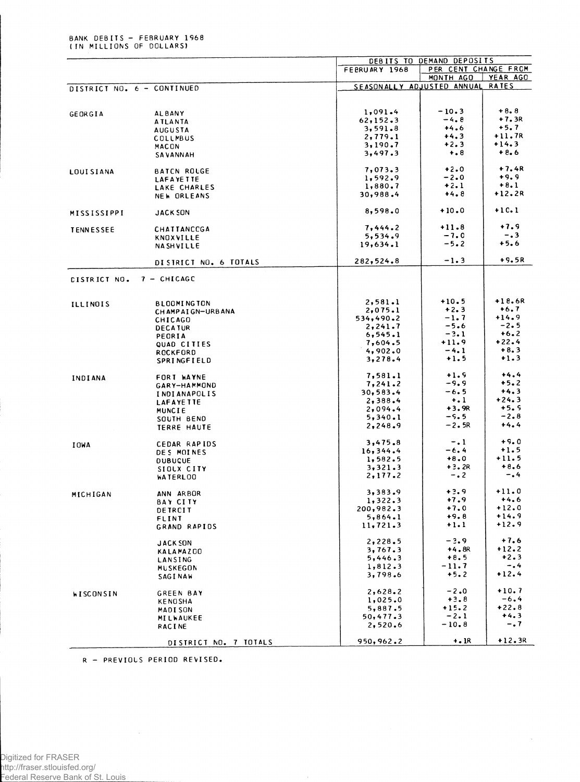|                            |                                    | DEBITS TO DEMAND DEPOSITS  |                      |                    |  |  |
|----------------------------|------------------------------------|----------------------------|----------------------|--------------------|--|--|
|                            |                                    | FEBRUARY 1968              | PER CENT CHANGE FROM |                    |  |  |
|                            |                                    |                            | MONTH AGO            | YEAR AGO           |  |  |
| DISTRICT NO. 6 - CONTINUED |                                    | SEASONALLY ADJUSTED ANNUAL |                      | <b>RATES</b>       |  |  |
|                            |                                    |                            |                      |                    |  |  |
|                            | <b>ALBANY</b>                      | 1,091.4                    | $-10.3$              | $+8.8$             |  |  |
| GEORGIA                    | <b>ATLANTA</b>                     | 62, 152.3                  | $-4.8$               | $+7.3R$            |  |  |
|                            | <b>AUGUSTA</b>                     | 3,591.8                    | $+4.6$               | $+5.7$             |  |  |
|                            | COLLMBUS                           | 2,779.1                    | $+4.3$               | $+11.7R$           |  |  |
|                            | <b>MACON</b>                       | 3,190.7                    | $+2.3$               | $+14.3$            |  |  |
|                            | <b>SAVANNAH</b>                    | 3,497.3                    | $+ 8$                | $+8.6$             |  |  |
|                            |                                    |                            |                      |                    |  |  |
| <b>LOUISIANA</b>           | <b>BATCN ROUGE</b>                 | 7,073.3                    | $+2.0$<br>$-2.0$     | $+7.4R$<br>$+9.9$  |  |  |
|                            | <b>LAFAYETTE</b>                   | 1,592.9<br>1,880.7         | $+2.1$               | $+8.1$             |  |  |
|                            | LAKE CHARLES<br><b>NEW ORLEANS</b> | 30,988.4                   | $+4.8$               | $+12.2R$           |  |  |
|                            |                                    |                            |                      |                    |  |  |
| MISSISSIPPI                | <b>JACK SON</b>                    | 8,598.0                    | $+10.0$              | $+1C.1$            |  |  |
|                            |                                    |                            |                      |                    |  |  |
| <b>TENNESSEE</b>           | CHATTANCCGA                        | 7,444.2                    | $+11.8$<br>$-7.0$    | $+7.9$<br>$-0.3$   |  |  |
|                            | KNOXVILLE                          | 5,534.9                    | $-5.2$               | $+5.6$             |  |  |
|                            | NASHVILLE                          | 19,634.1                   |                      |                    |  |  |
|                            | DISTRICT NO. 6 TOTALS              | 282,524.8                  | $-1.3$               | $+9.5R$            |  |  |
| <b>CISTRICT NO.</b>        | $7 - CHICAGE$                      |                            |                      |                    |  |  |
|                            |                                    |                            |                      |                    |  |  |
|                            |                                    |                            |                      |                    |  |  |
| <b>ILLINOIS</b>            | <b>BLOOMINGTON</b>                 | 2,581.1                    | $+10.5$              | $+18.6R$<br>$+6.7$ |  |  |
|                            | CH AMP AT GN-URBANA                | 2,075.1<br>534,490.2       | $+2.3$<br>$-1.7$     | $+14.9$            |  |  |
|                            | <b>CHICAGO</b>                     | 2, 241.7                   | $-5.6$               | $-2.5$             |  |  |
|                            | <b>DECATUR</b><br>PEORIA           | 6, 545.1                   | $-3.1$               | $+6.2$             |  |  |
|                            | QUAD CITIES                        | 7,604.5                    | $+11.9$              | $+22.4$            |  |  |
|                            | <b>ROCKFORD</b>                    | 4,902.0                    | $-4.1$               | $+8.3$             |  |  |
|                            | SPRINGFIELD                        | 3,278.4                    | $+1.5$               | $+1.3$             |  |  |
|                            |                                    | 7,581.1                    | $+1.9$               | $+4.4$             |  |  |
| INDIANA                    | FORT WAYNE<br>GARY-HAMMOND         | 7,241.2                    | $-9.9$               | $+5.2$             |  |  |
|                            | <b>INDIANAPOLIS</b>                | 30,583.4                   | $-6.5$               | $+4.3$             |  |  |
|                            | <b>LAFAYETTE</b>                   | 2,388.4                    | $+1$                 | $+24.3$            |  |  |
|                            | MUNCIE                             | 2,094.4                    | $+3.9R$              | $+5.5$             |  |  |
|                            | SOUTH BEND                         | 5,340.1                    | $-5.5$               | $-2.8$             |  |  |
|                            | <b>TERRE HAUTE</b>                 | 2,248.9                    | $-2.5R$              | $+4.4$             |  |  |
|                            |                                    |                            |                      | $+9.0$             |  |  |
| <b>IOWA</b>                | CEDAR RAPIDS                       | 3,475.8<br>16,344.4        | $-1$<br>$-6.4$       | $+1.5$             |  |  |
|                            | DES MOINES                         | 1,582.5                    | $+8.0$               | $+11.5$            |  |  |
|                            | <b>DUBUCUE</b><br>SIOUX CITY       | 3,321.3                    | $+3.2R$              | $+8.6$             |  |  |
|                            | <b>WATERLOO</b>                    | 2,177.2                    | $-0.2$               | $-0.4$             |  |  |
|                            |                                    |                            |                      |                    |  |  |
| MICHIGAN                   | ANN ARBOR                          | 3,383.9                    | $+3.9$               | $+11.0$            |  |  |
|                            | BAY CITY                           | 1,322.3                    | $+7.9$               | $+4.6$             |  |  |
|                            | DETROIT                            | 200,982.3                  | +7.0                 | +12.0              |  |  |
|                            | <b>FLINT</b>                       | 5,864.1                    | $+9.8$<br>$+1.1$     | $+14.9$<br>$+12.9$ |  |  |
|                            | GRAND RAPIDS                       | 11,721.3                   |                      |                    |  |  |
|                            | <b>JACK SON</b>                    | 2,228.5                    | $-3.9$               | $+7.6$             |  |  |
|                            | <b>KALAMAZGO</b>                   | 3,767.3                    | $+4.8R$              | $+12.2$            |  |  |
|                            | LANSING                            | 5,446.3                    | $+8.5$               | $+2.3$             |  |  |
|                            | MUSKEGON                           | 1,812.3                    | $-11.7$              | $-0.4$             |  |  |
|                            | <b>SAGINAW</b>                     | 3,798.6                    | $+5.2$               | $+12.4$            |  |  |
| WISCONSIN                  | <b>GREEN BAY</b>                   | 2,628.2                    | $-2.0$               | $+10.7$            |  |  |
|                            | <b>KENOSHA</b>                     | 1,025.0                    | $+3.8$               | $-6.4$             |  |  |
|                            | <b>MADISON</b>                     | 5,887.5                    | $+15.2$              | +22.8              |  |  |
|                            | MILWAUKEE                          | 50,477.3                   | $-2.1$               | $+4.3$             |  |  |
|                            | <b>RACINE</b>                      | 2,520.6                    | $-10.8$              | $-0.7$             |  |  |
|                            |                                    |                            |                      |                    |  |  |
|                            | DISTRICT NO. 7 TOTALS              | 950,962.2                  | $+$ . 1 $R$          | +12.3R             |  |  |

 $\sim$ 

R - PREVIOUS PERIOD REVISED.

 $\sim$   $\sim$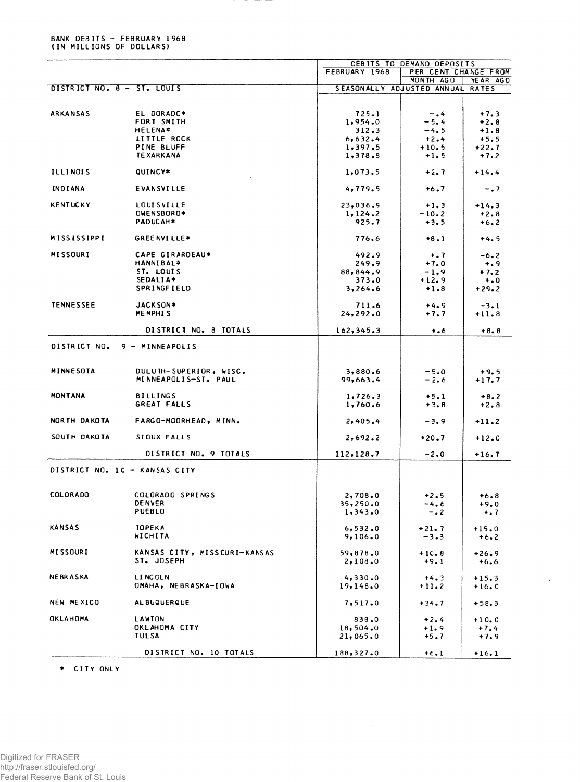## BANK DEBITS - FEBRUARY 1968<br>(IN MILLIONS OF DOLLARS)

|                               |                              | CEBITS TO DEMAND DEPOSITS        |                      |          |
|-------------------------------|------------------------------|----------------------------------|----------------------|----------|
|                               |                              | FEBRUARY 1968                    | PER CENT CHANGE FROM |          |
|                               |                              |                                  | MONTH AGO            | YEAR AGO |
| DISTRICT NO. 8 - ST. LOUIS    |                              | SEASONALLY ADJUSTED ANNUAL RATES |                      |          |
|                               |                              |                                  |                      |          |
| <b>ARKANSAS</b>               | EL DORADO*                   | 725.1                            | $-0.4$               | $+7.3$   |
|                               | FORT SMITH                   | 1,954.0                          | $-5.4$               | $+2.8$   |
|                               | <b>HELENA*</b>               | 312.3                            | $-4.5$               | $+1.8$   |
|                               | LITTLE ROCK                  | 6,632.4                          | $+2.4$               | $+5.5$   |
|                               | PINE BLUFF                   | 1,397.5                          | $+10.5$              | $+22.7$  |
|                               | <b>TEXARKANA</b>             | 1,378.8                          | $+1.5$               | $+7.2$   |
|                               |                              |                                  |                      |          |
| <b>ILLINOIS</b>               | QUINCY*                      | 1,073.5                          | $+2.7$               | $+14.4$  |
|                               |                              |                                  |                      |          |
| <b>INDIANA</b>                | EVANSVILLE                   | 4,779.5                          | $+6.7$               | $-0.7$   |
|                               |                              |                                  |                      |          |
| <b>KENTUCKY</b>               | <b>LOUISVILLE</b>            | 23,036.9                         | $+1.3$               | $+14.3$  |
|                               | OWENSBORO*                   | 1, 124.2                         | $-10.2$              | $+2.8$   |
|                               | PADUCAH*                     | 925.7                            | $+3.5$               | $+6.2$   |
| <b>MISSISSIPPI</b>            | <b>GREENVILLE*</b>           | 776.6                            | $+8.1$               | $+4.5$   |
|                               |                              |                                  |                      |          |
| <b>MISSOURI</b>               | CAPE GIRARDEAU*              | 492.9                            | $+ 1.7$              | $-6.2$   |
|                               | <b>HANNIBAL*</b>             | 249.9                            | $+7.0$               | $+ 0.9$  |
|                               | ST. LOUIS                    | 88,844.9                         | $-1.9$               | $+7.2$   |
|                               | SEDALIA*                     | 373.0                            | $+12.9$              | $+0$     |
|                               | SPRINGFIELD                  | 3,264.6                          | $+1.8$               | $+29.2$  |
|                               |                              |                                  |                      |          |
| <b>TENNESSEE</b>              | JACKSON*                     | 711.6                            | $+4.9$               | $-3.1$   |
|                               | MEMPHIS                      | 24, 292.0                        | $+7.7$               | $+11.8$  |
|                               |                              |                                  |                      |          |
|                               | DISTRICT NO. 8 TOTALS        | 162, 345.3                       | $+ 0.6$              | $+8.8$   |
|                               |                              |                                  |                      |          |
| DISTRICT NO.                  | 9 - MINNEAPOLIS              |                                  |                      |          |
|                               |                              |                                  |                      |          |
|                               |                              |                                  |                      |          |
| MINNESOTA                     | DULUTH-SUPERIOR, WISC.       | 3,880.6                          | $-5.0$               | $+9.5$   |
|                               | MINNEAPOLIS-ST. PAUL         | 99,663.4                         | $-2.6$               | $+17.7$  |
|                               |                              |                                  |                      |          |
| <b>MONTANA</b>                | <b>BILLINGS</b>              | 1,726.3                          | $+5.1$               | $+8.2$   |
|                               | GREAT FALLS                  | 1,760.6                          | $+3.8$               | $+2.8$   |
|                               |                              |                                  |                      |          |
| NORTH DAKOTA                  | FARGO-MOORHEAD, MINN.        | 2,405.4                          | $-3.9$               | $+11.2$  |
| SOUTH DAKOTA                  | SIOUX FALLS                  |                                  |                      |          |
|                               |                              | 2,692.2                          | $+20.7$              | $+12.0$  |
|                               | DISTRICT NO. 9 TOTALS        | 112, 128.7                       | $-2.0$               | $+16.7$  |
|                               |                              |                                  |                      |          |
| DISTRICT NO. 10 - KANSAS CITY |                              |                                  |                      |          |
|                               |                              |                                  |                      |          |
|                               |                              |                                  |                      |          |
| <b>COLORADO</b>               | COLORADO SPRINGS             | 2,708.0                          | $+2.5$               | $+6.8$   |
|                               | <b>DENVER</b>                | 35,250.0                         | -4.6                 | $+9.0$   |
|                               | PUEBLO                       | 1,343.0                          | $-0.2$               | $+ 0.7$  |
|                               |                              |                                  |                      |          |
| KANSAS                        | <b>TOPEKA</b>                | 6,532.0                          | $+21.7$              | $+15.0$  |
|                               | WICHITA                      | 9,106.0                          | $-3.3$               | $+6.2$   |
|                               |                              |                                  |                      |          |
| <b>MISSOURI</b>               | KANSAS CITY, MISSCURI-KANSAS | 59,878.0                         | $+10.8$              | $+26.9$  |
|                               | ST. JOSEPH                   | 2,108.0                          | $+9.1$               | $+6.6$   |
|                               |                              |                                  |                      |          |
| <b>NEBRASKA</b>               | <b>LINCOLN</b>               | 4,330.0                          | $+4.3$               | $+15.3$  |
|                               | OMAHA, NEBRASKA-IOWA         | 19,148.0                         | $+11.2$              | $+16.0$  |
| NEW MEXICO                    | <b>ALBUQUERQUE</b>           |                                  |                      |          |
|                               |                              | 7,517.0                          | $+34.7$              | $+58.3$  |
| OKLAHOMA                      | LAWION                       | 838.0                            | $+2.4$               | $+10.0$  |
|                               | OKLAHOMA CITY                | 18,504.0                         | $+1.9$               | $+7.4$   |
|                               | <b>TULSA</b>                 | 21,065.0                         | $+5.7$               | $+7.9$   |
|                               |                              |                                  |                      |          |
|                               | DISTRICT NO. 10 TOTALS       | 188,327.0                        | $+6.1$               | $+16.1$  |
|                               |                              |                                  |                      |          |

 $\hat{\mathcal{A}}$ 

\* CITY ONLY